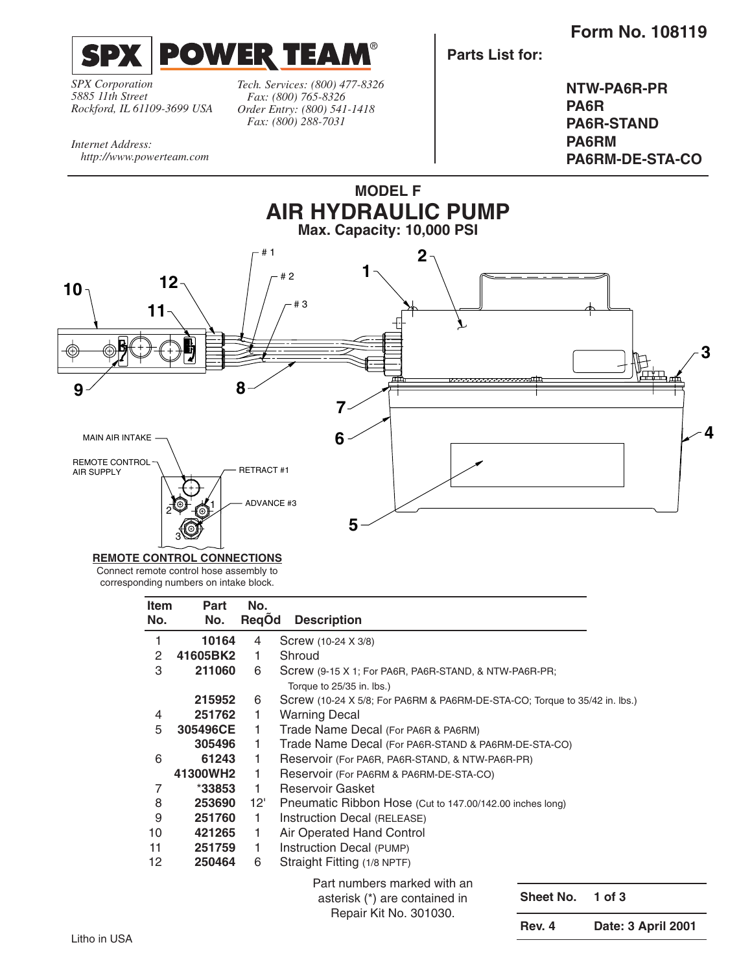**Form No. 108119**



*SPX Corporation 5885 11th Street Rockford, IL 61109-3699 USA*

*http://www.powerteam.com*

*Internet Address:*

*Tech. Services: (800) 477-8326 Fax: (800) 765-8326 Order Entry: (800) 541-1418 Fax: (800) 288-7031*

**Parts List for:**

**NTW-PA6R-PR PA6R PA6R-STAND PA6RM PA6RM-DE-STA-CO**



#### **REMOTE CONTROL CONNECTIONS**

Connect remote control hose assembly to corresponding numbers on intake block.

| <b>Item</b> | Part     | No.                         |                                                                            |           |                    |  |
|-------------|----------|-----------------------------|----------------------------------------------------------------------------|-----------|--------------------|--|
| No.         | No.      | ReqOd                       | <b>Description</b>                                                         |           |                    |  |
| 1           | 10164    | 4                           | Screw (10-24 X 3/8)                                                        |           |                    |  |
| 2           | 41605BK2 | 1.                          | Shroud                                                                     |           |                    |  |
| 3           | 211060   | 6                           | Screw (9-15 X 1; For PA6R, PA6R-STAND, & NTW-PA6R-PR;                      |           |                    |  |
|             |          |                             | Torque to 25/35 in. lbs.)                                                  |           |                    |  |
|             | 215952   | 6                           | Screw (10-24 X 5/8; For PA6RM & PA6RM-DE-STA-CO; Torque to 35/42 in. lbs.) |           |                    |  |
| 4           | 251762   | 1                           | <b>Warning Decal</b>                                                       |           |                    |  |
| 5           | 305496CE | 1.                          | Trade Name Decal (For PA6R & PA6RM)                                        |           |                    |  |
|             | 305496   | 1.                          | Trade Name Decal (For PA6R-STAND & PA6RM-DE-STA-CO)                        |           |                    |  |
| 6           | 61243    | 1.                          | Reservoir (For PA6R, PA6R-STAND, & NTW-PA6R-PR)                            |           |                    |  |
|             | 41300WH2 | 1.                          | Reservoir (For PA6RM & PA6RM-DE-STA-CO)                                    |           |                    |  |
| 7           | $*33853$ | 1.                          | Reservoir Gasket                                                           |           |                    |  |
| 8           | 253690   | 12'                         | Pneumatic Ribbon Hose (Cut to 147.00/142.00 inches long)                   |           |                    |  |
| 9           | 251760   | 1.                          | Instruction Decal (RELEASE)                                                |           |                    |  |
| 10          | 421265   | 1                           | Air Operated Hand Control                                                  |           |                    |  |
| 11          | 251759   | 1.                          | Instruction Decal (PUMP)                                                   |           |                    |  |
| 12          | 250464   | 6                           | Straight Fitting (1/8 NPTF)                                                |           |                    |  |
|             |          | Part numbers marked with an |                                                                            |           |                    |  |
|             |          |                             | asterisk (*) are contained in<br>Repair Kit No. 301030.                    | Sheet No. | $1$ of $3$         |  |
|             |          |                             | <b>Rev. 4</b>                                                              |           | Date: 3 April 2001 |  |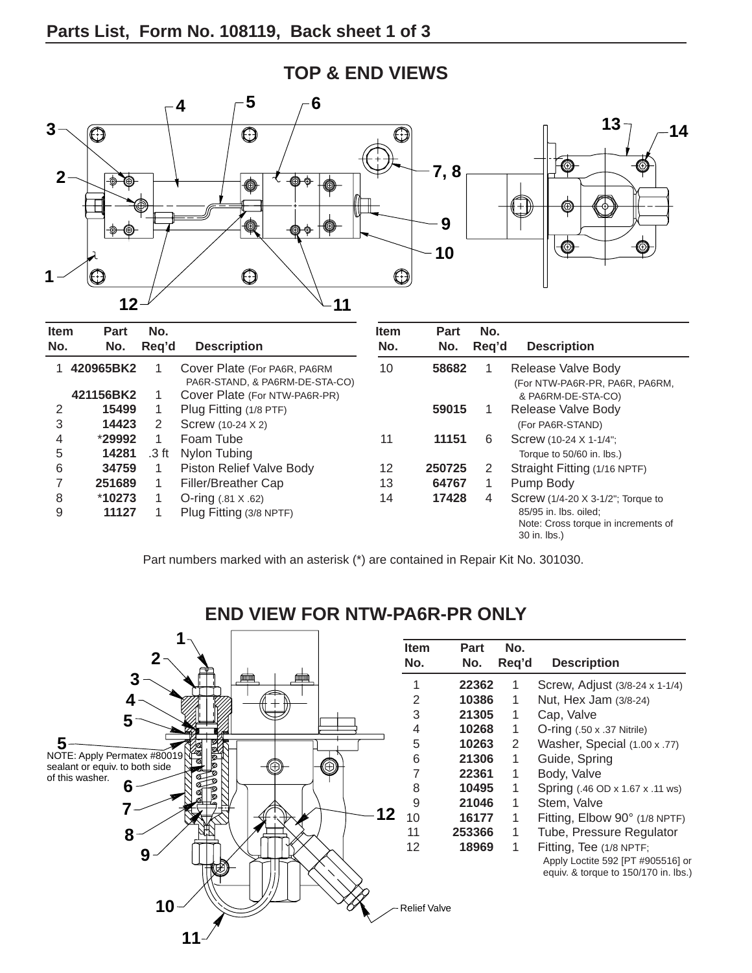

### **TOP & END VIEWS**

Part numbers marked with an asterisk (\*) are contained in Repair Kit No. 301030.



## **END VIEW FOR NTW-PA6R-PR ONLY**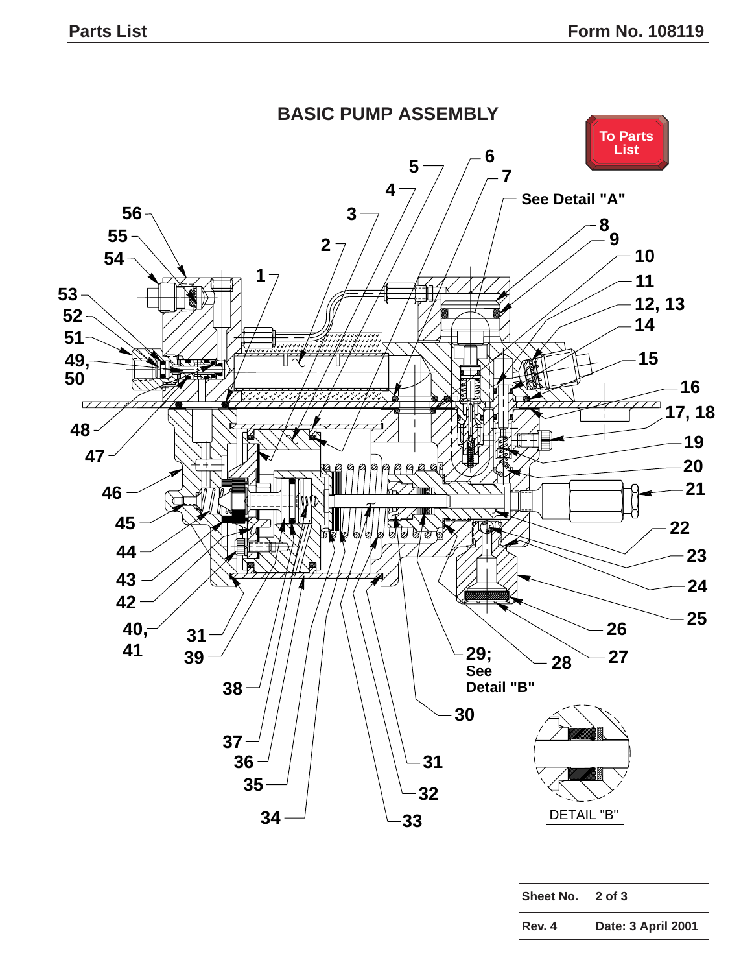<span id="page-2-0"></span>

| Sheet No. | $2$ of $3$         |  |
|-----------|--------------------|--|
| Rev. 4    | Date: 3 April 2001 |  |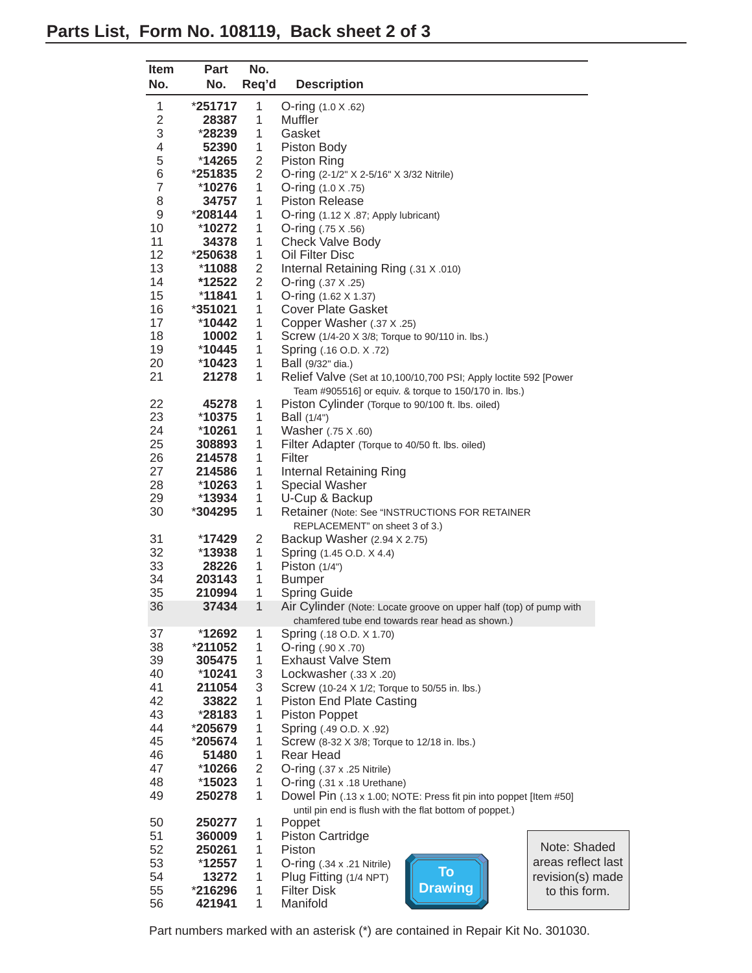<span id="page-3-0"></span>

| <b>Item</b>    | <b>Part</b> | No.            |                                                                    |                    |
|----------------|-------------|----------------|--------------------------------------------------------------------|--------------------|
| No.            | No.         | Req'd          | <b>Description</b>                                                 |                    |
| 1              | $*251717$   | 1              | O-ring (1.0 X .62)                                                 |                    |
| $\mathbf{2}$   | 28387       | 1              | Muffler                                                            |                    |
| 3              | $*28239$    | 1              | Gasket                                                             |                    |
| 4              | 52390       | 1              | Piston Body                                                        |                    |
| 5              | *14265      | 2              | Piston Ring                                                        |                    |
| 6              | *251835     | $\overline{2}$ | O-ring (2-1/2" X 2-5/16" X 3/32 Nitrile)                           |                    |
| $\overline{7}$ | *10276      | 1              | O-ring $(1.0 \times .75)$                                          |                    |
| 8              | 34757       | 1              | <b>Piston Release</b>                                              |                    |
| 9              | $*208144$   | 1              | O-ring (1.12 X .87; Apply lubricant)                               |                    |
| 10             | *10272      | 1              | O-ring $(.75 \times .56)$                                          |                    |
| 11             | 34378       | 1              | <b>Check Valve Body</b>                                            |                    |
| 12             | *250638     | 1              | Oil Filter Disc                                                    |                    |
| 13             | *11088      | $\mathbf 2$    | Internal Retaining Ring (.31 X .010)                               |                    |
| 14             | *12522      | $\overline{2}$ | O-ring (.37 X .25)                                                 |                    |
| 15             | *11841      | 1              | O-ring (1.62 X 1.37)                                               |                    |
| 16             | *351021     | 1              | <b>Cover Plate Gasket</b>                                          |                    |
|                |             |                | Copper Washer (.37 X .25)                                          |                    |
| 17<br>18       | *10442      | 1<br>1         |                                                                    |                    |
| 19             | 10002       | $\mathbf{1}$   | Screw (1/4-20 X 3/8; Torque to 90/110 in. lbs.)                    |                    |
|                | $*10445$    |                | Spring (.16 O.D. X .72)                                            |                    |
| 20             | $*10423$    | 1              | Ball (9/32" dia.)                                                  |                    |
| 21             | 21278       | 1              | Relief Valve (Set at 10,100/10,700 PSI; Apply loctite 592 [Power   |                    |
|                |             |                | Team #905516] or equiv. & torque to 150/170 in. lbs.)              |                    |
| 22             | 45278       | 1              | Piston Cylinder (Torque to 90/100 ft. lbs. oiled)                  |                    |
| 23             | $*10375$    | 1              | Ball (1/4")                                                        |                    |
| 24             | *10261      | 1              | Washer (.75 X .60)                                                 |                    |
| 25             | 308893      | 1              | Filter Adapter (Torque to 40/50 ft. lbs. oiled)                    |                    |
| 26             | 214578      | 1              | Filter                                                             |                    |
| 27             | 214586      | 1              | Internal Retaining Ring                                            |                    |
| 28             | $*10263$    | 1              | <b>Special Washer</b>                                              |                    |
| 29             | $*13934$    | $\mathbf{1}$   | U-Cup & Backup                                                     |                    |
| 30             | *304295     | $\mathbf{1}$   | Retainer (Note: See "INSTRUCTIONS FOR RETAINER                     |                    |
|                |             |                | REPLACEMENT" on sheet 3 of 3.)                                     |                    |
| 31             | $*17429$    | $\overline{2}$ | Backup Washer (2.94 X 2.75)                                        |                    |
| 32             | $*13938$    | $\mathbf{1}$   | Spring (1.45 O.D. X 4.4)                                           |                    |
| 33             | 28226       | 1              | Piston $(1/4")$                                                    |                    |
| 34             | 203143      | 1              | <b>Bumper</b>                                                      |                    |
| 35             | 210994      | 1              | <b>Spring Guide</b>                                                |                    |
| 36             | 37434       | $\overline{1}$ | Air Cylinder (Note: Locate groove on upper half (top) of pump with |                    |
|                |             |                | chamfered tube end towards rear head as shown.)                    |                    |
| 37             | *12692      | 1              | Spring (.18 O.D. X 1.70)                                           |                    |
| 38             | *211052     | 1              | O-ring $(.90 \times .70)$                                          |                    |
| 39             | 305475      | 1              | <b>Exhaust Valve Stem</b>                                          |                    |
| 40             | $*10241$    | 3              | Lockwasher (.33 X .20)                                             |                    |
| 41             | 211054      | 3              | Screw (10-24 X 1/2; Torque to 50/55 in. lbs.)                      |                    |
| 42             | 33822       | 1              | <b>Piston End Plate Casting</b>                                    |                    |
| 43             | *28183      | 1              | <b>Piston Poppet</b>                                               |                    |
| 44             | *205679     | 1              | Spring (.49 O.D. X .92)                                            |                    |
| 45             | $*205674$   | 1              | Screw (8-32 X 3/8; Torque to 12/18 in. lbs.)                       |                    |
| 46             | 51480       | 1              | Rear Head                                                          |                    |
| 47             | *10266      | $\overline{2}$ | $O$ -ring $(.37 \times .25 \text{ Nitrile})$                       |                    |
| 48             | $*15023$    | 1              | O-ring (.31 x .18 Urethane)                                        |                    |
| 49             | 250278      | 1              | Dowel Pin (.13 x 1.00; NOTE: Press fit pin into poppet [Item #50]  |                    |
|                |             |                | until pin end is flush with the flat bottom of poppet.)            |                    |
| 50             | 250277      | 1              | Poppet                                                             |                    |
| 51             | 360009      | 1              | <b>Piston Cartridge</b>                                            |                    |
| 52             | 250261      | 1              | Piston                                                             | Note: Shaded       |
| 53             | $*12557$    | 1              | $O$ -ring $(.34 \times .21 \text{ Nitrile})$                       | areas reflect last |
| 54             | 13272       | 1              | <b>To</b><br>Plug Fitting (1/4 NPT)                                | revision(s) made   |
| 55             | *216296     | 1              | <b>Drawing</b><br><b>Filter Disk</b>                               | to this form.      |
| 56             | 421941      | 1              | Manifold                                                           |                    |

Part numbers marked with an asterisk (\*) are contained in Repair Kit No. 301030.